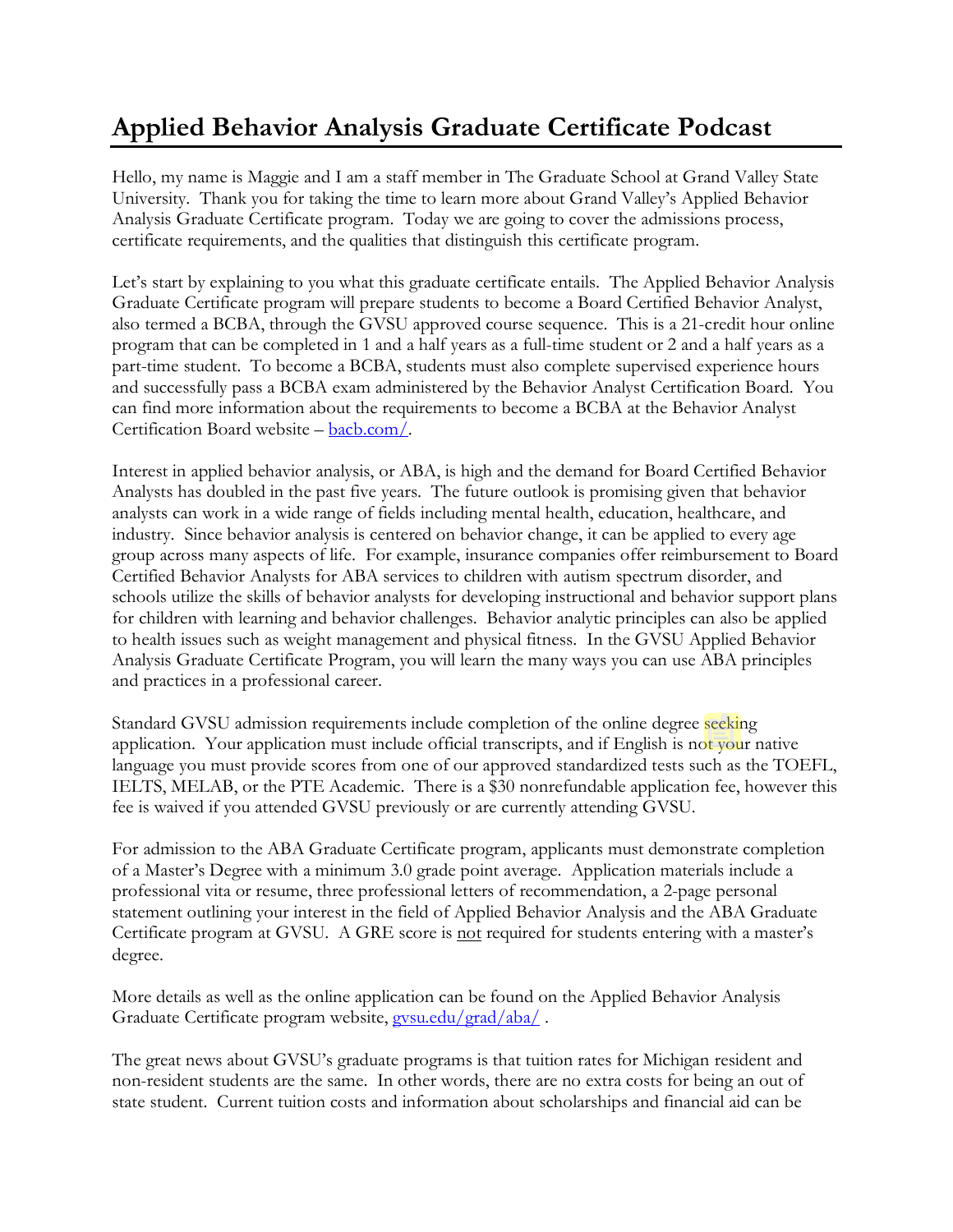## **Applied Behavior Analysis Graduate Certificate Podcast**

Hello, my name is Maggie and I am a staff member in The Graduate School at Grand Valley State University. Thank you for taking the time to learn more about Grand Valley's Applied Behavior Analysis Graduate Certificate program. Today we are going to cover the admissions process, certificate requirements, and the qualities that distinguish this certificate program.

Let's start by explaining to you what this graduate certificate entails. The Applied Behavior Analysis Graduate Certificate program will prepare students to become a Board Certified Behavior Analyst, also termed a BCBA, through the GVSU approved course sequence. This is a 21-credit hour online program that can be completed in 1 and a half years as a full-time student or 2 and a half years as a part-time student. To become a BCBA, students must also complete supervised experience hours and successfully pass a BCBA exam administered by the Behavior Analyst Certification Board. You can find more information about the requirements to become a BCBA at the Behavior Analyst Certification Board website – [bacb.com/.](https://bacb.com/)

Interest in applied behavior analysis, or ABA, is high and the demand for Board Certified Behavior Analysts has doubled in the past five years. The future outlook is promising given that behavior analysts can work in a wide range of fields including mental health, education, healthcare, and industry. Since behavior analysis is centered on behavior change, it can be applied to every age group across many aspects of life. For example, insurance companies offer reimbursement to Board Certified Behavior Analysts for ABA services to children with autism spectrum disorder, and schools utilize the skills of behavior analysts for developing instructional and behavior support plans for children with learning and behavior challenges. Behavior analytic principles can also be applied to health issues such as weight management and physical fitness. In the GVSU Applied Behavior Analysis Graduate Certificate Program, you will learn the many ways you can use ABA principles and practices in a professional career.

Standard GVSU admission requirements include completion of the online degree seeking application. Your application must include official transcripts, and if English is not your native language you must provide scores from one of our approved standardized tests such as the TOEFL, IELTS, MELAB, or the PTE Academic. There is a \$30 nonrefundable application fee, however this fee is waived if you attended GVSU previously or are currently attending GVSU.

For admission to the ABA Graduate Certificate program, applicants must demonstrate completion of a Master's Degree with a minimum 3.0 grade point average. Application materials include a professional vita or resume, three professional letters of recommendation, a 2-page personal statement outlining your interest in the field of Applied Behavior Analysis and the ABA Graduate Certificate program at GVSU. A GRE score is not required for students entering with a master's degree.

More details as well as the online application can be found on the Applied Behavior Analysis Graduate Certificate program website, [gvsu.edu/grad/aba/](http://www.gvsu.edu/grad/aba/) .

The great news about GVSU's graduate programs is that tuition rates for Michigan resident and non-resident students are the same. In other words, there are no extra costs for being an out of state student. Current tuition costs and information about scholarships and financial aid can be